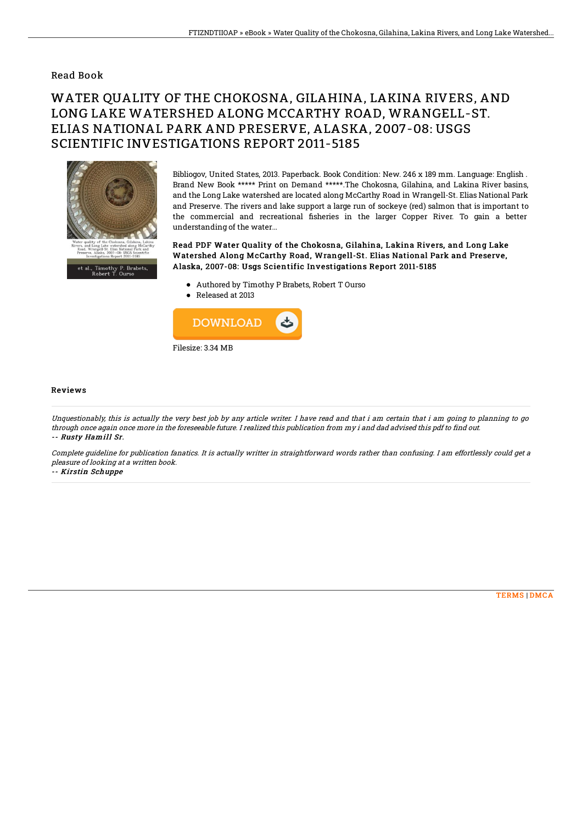## Read Book

## WATER QUALITY OF THE CHOKOSNA, GILAHINA, LAKINA RIVERS, AND LONG LAKE WATERSHED ALONG MCCARTHY ROAD, WRANGELL-ST. ELIAS NATIONAL PARK AND PRESERVE, ALASKA, 2007-08: USGS SCIENTIFIC INVESTIGATIONS REPORT 2011-5185



Bibliogov, United States, 2013. Paperback. Book Condition: New. 246 x 189 mm. Language: English . Brand New Book \*\*\*\*\* Print on Demand \*\*\*\*\*.The Chokosna, Gilahina, and Lakina River basins, and the Long Lake watershed are located along McCarthy Road in Wrangell-St. Elias National Park and Preserve. The rivers and lake support a large run of sockeye (red) salmon that is important to the commercial and recreational fisheries in the larger Copper River. To gain a better understanding of the water...

Read PDF Water Quality of the Chokosna, Gilahina, Lakina Rivers, and Long Lake Watershed Along McCarthy Road, Wrangell-St. Elias National Park and Preserve, Alaska, 2007-08: Usgs Scientific Investigations Report 2011-5185

- Authored by Timothy P Brabets, Robert T Ourso
- Released at 2013



## Reviews

Unquestionably, this is actually the very best job by any article writer. I have read and that i am certain that i am going to planning to go through once again once more in the foreseeable future. I realized this publication from my i and dad advised this pdf to find out. -- Rusty Hamill Sr.

Complete guideline for publication fanatics. It is actually writter in straightforward words rather than confusing. I am effortlessly could get <sup>a</sup> pleasure of looking at <sup>a</sup> written book.

-- Kirstin Schuppe